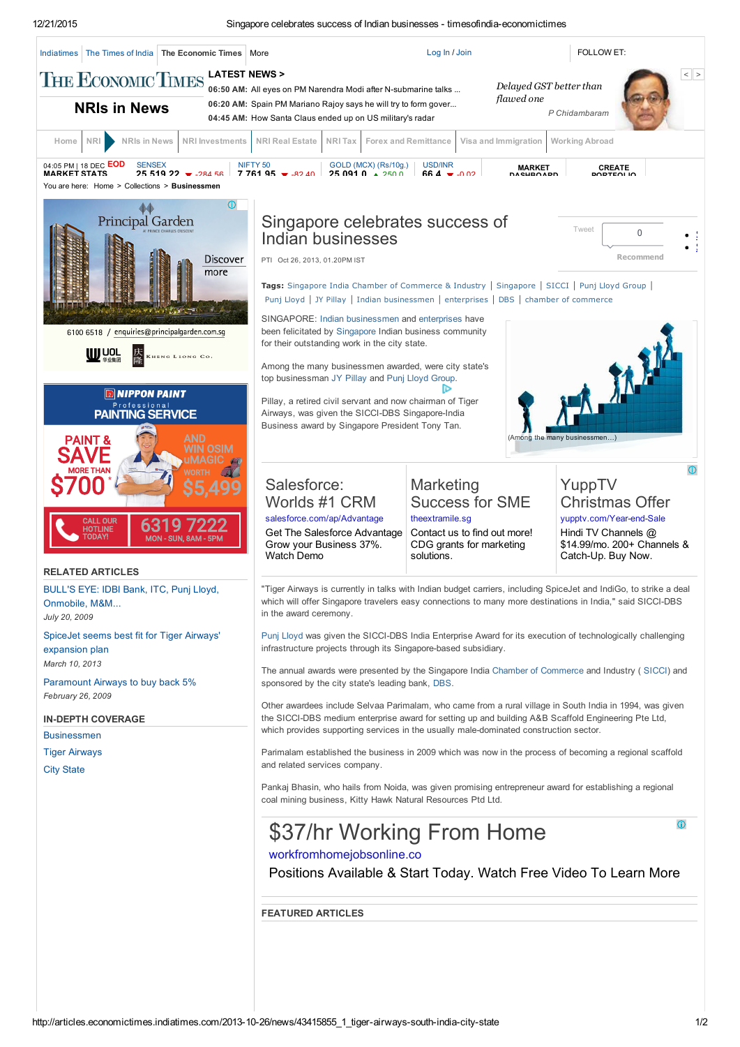12/21/2015 Singapore celebrates success of Indian businesses timesofindiaeconomictimes